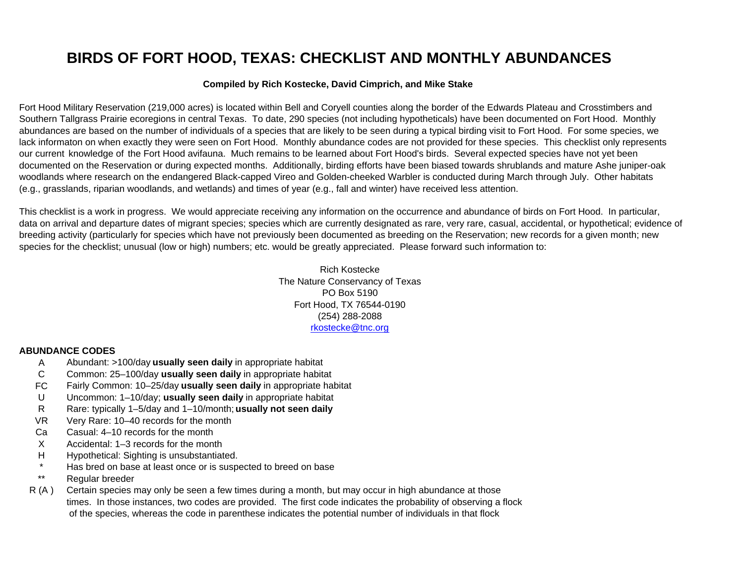## **BIRDS OF FORT HOOD, TEXAS: CHECKLIST AND MONTHLY ABUNDANCES**

## **Compiled by Rich Kostecke, David Cimprich, and Mike Stake**

lack informaton on when exactly they were seen on Fort Hood. Monthly abundance codes are not provided for these species. This checklist only represents woodlands where research on the endangered Black-capped Vireo and Golden-cheeked Warbler is conducted during March through July. Other habitats Fort Hood Military Reservation (219,000 acres) is located within Bell and Coryell counties along the border of the Edwards Plateau and Crosstimbers and Southern Tallgrass Prairie ecoregions in central Texas. To date, 290 species (not including hypotheticals) have been documented on Fort Hood. Monthly abundances are based on the number of individuals of a species that are likely to be seen during a typical birding visit to Fort Hood. For some species, we our current knowledge of the Fort Hood avifauna. Much remains to be learned about Fort Hood's birds. Several expected species have not yet been documented on the Reservation or during expected months. Additionally, birding efforts have been biased towards shrublands and mature Ashe juniper-oak (e.g., grasslands, riparian woodlands, and wetlands) and times of year (e.g., fall and winter) have received less attention.

breeding activity (particularly for species which have not previously been documented as breeding on the Reservation; new records for a given month; new This checklist is a work in progress. We would appreciate receiving any information on the occurrence and abundance of birds on Fort Hood. In particular, [data on arrival and departure dates of migrant species; species which are currently designated as rare, very rare, casual, accidental, or hypothetical; evidence of](mailto:rkostecke@tnc.org) species for the checklist; unusual (low or high) numbers; etc. would be greatly appreciated. Please forward such information to:

> Rich KosteckeThe Nature Conservancy of Texas PO Box 5190Fort Hood, TX 76544-0190 (254) 288-2088 rkostecke@tnc.org

## **ABUNDANCE CODES**

- AA Abundant: >100/day **usually seen daily** in appropriate habitat
- CCommon: 25–100/day **usually seen daily** in appropriate habitat
- FCFairly Common: 10–25/day **usually seen dail y** in appropriate habitat
- UU Uncommon: 1-10/day; **usually seen daily** in appropriate habitat
- RRare: typically 1–5/day and 1–10/month; **usually not seen daily**
- VR Very Rare: 10–40 records for the month
- Ca Casual: 4–10 records for the month
- X Accidental: 1–3 records for the month
- H Hypothetical: Sighting is unsubstantiated.
- \*Has bred on base at least once or is suspected to breed on base
- \*\*Regular breeder
- R (A ) Certain species may only be seen a few times during a month, but may occur in high abundance at those times. In those instances, two codes are provided. The first code indicates the probability of observing a flock of the species, whereas the code in parenthese indicates the potential number of individuals in that flock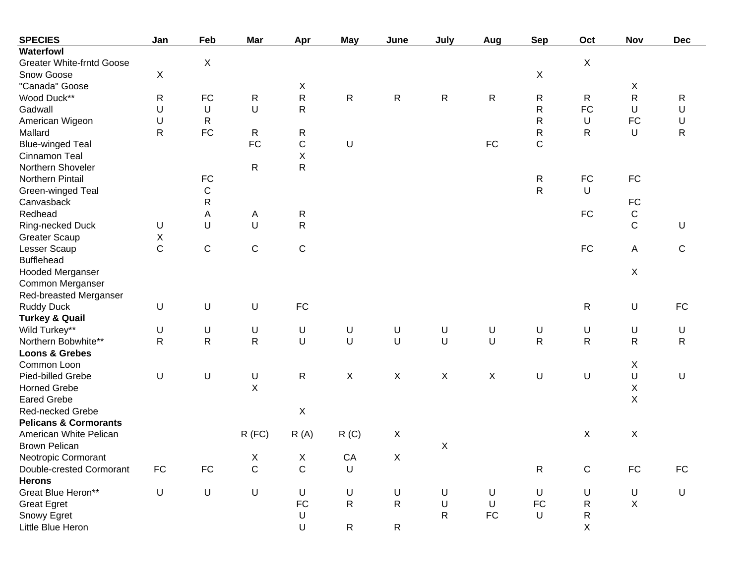| <b>SPECIES</b>                   | Jan            | Feb          | Mar          | Apr            | <b>May</b>                | June           | July         | Aug        | <b>Sep</b>   | Oct          | Nov            | <b>Dec</b>   |
|----------------------------------|----------------|--------------|--------------|----------------|---------------------------|----------------|--------------|------------|--------------|--------------|----------------|--------------|
| <b>Waterfowl</b>                 |                |              |              |                |                           |                |              |            |              |              |                |              |
| <b>Greater White-frntd Goose</b> |                | X            |              |                |                           |                |              |            |              | $\mathsf X$  |                |              |
| Snow Goose                       | $\pmb{\times}$ |              |              |                |                           |                |              |            | X            |              |                |              |
| "Canada" Goose                   |                |              |              | Χ              |                           |                |              |            |              |              | X              |              |
| Wood Duck**                      | $\mathsf{R}$   | FC           | R            | ${\sf R}$      | ${\sf R}$                 | ${\sf R}$      | $\mathsf{R}$ | R          | R            | R            | $\mathsf R$    | R            |
| Gadwall                          | U              | U            | U            | $\mathsf R$    |                           |                |              |            | $\mathsf R$  | <b>FC</b>    | U              | U            |
| American Wigeon                  | U              | $\mathsf{R}$ |              |                |                           |                |              |            | $\mathsf{R}$ | U            | FC             | U            |
| Mallard                          | $\mathsf{R}$   | FC           | R            | R              |                           |                |              |            | $\mathsf{R}$ | R            | U              | $\mathsf{R}$ |
| <b>Blue-winged Teal</b>          |                |              | FC           | $\mathsf C$    | $\sf U$                   |                |              | ${\sf FC}$ | C            |              |                |              |
| Cinnamon Teal                    |                |              |              | $\mathsf X$    |                           |                |              |            |              |              |                |              |
| Northern Shoveler                |                |              | R            | ${\sf R}$      |                           |                |              |            |              |              |                |              |
| Northern Pintail                 |                | FC           |              |                |                           |                |              |            | R            | ${\sf FC}$   | ${\sf FC}$     |              |
| Green-winged Teal                |                | $\mathsf C$  |              |                |                           |                |              |            | $\mathsf{R}$ | $\sf U$      |                |              |
| Canvasback                       |                | ${\sf R}$    |              |                |                           |                |              |            |              |              | ${\sf FC}$     |              |
| Redhead                          |                | Α            | Α            | R              |                           |                |              |            |              | ${\sf FC}$   | $\mathsf C$    |              |
| Ring-necked Duck                 | U              | U            | U            | ${\sf R}$      |                           |                |              |            |              |              | $\mathsf{C}$   | U            |
| <b>Greater Scaup</b>             | X              |              |              |                |                           |                |              |            |              |              |                |              |
| Lesser Scaup                     | $\mathsf C$    | $\mathsf C$  | C            | $\mathsf C$    |                           |                |              |            |              | <b>FC</b>    | Α              | C            |
| <b>Bufflehead</b>                |                |              |              |                |                           |                |              |            |              |              |                |              |
| Hooded Merganser                 |                |              |              |                |                           |                |              |            |              |              | $\pmb{\times}$ |              |
| Common Merganser                 |                |              |              |                |                           |                |              |            |              |              |                |              |
| Red-breasted Merganser           |                |              |              |                |                           |                |              |            |              |              |                |              |
| <b>Ruddy Duck</b>                | U              | U            | U            | FC             |                           |                |              |            |              | ${\sf R}$    | $\sf U$        | <b>FC</b>    |
| <b>Turkey &amp; Quail</b>        |                |              |              |                |                           |                |              |            |              |              |                |              |
| Wild Turkey**                    | U              | $\sf U$      | U            | U              | $\sf U$                   | U              | U            | U          | U            | $\sf U$      | U              | $\sf U$      |
| Northern Bobwhite**              | $\mathsf{R}$   | $\mathsf{R}$ | R            | U              | $\mathsf U$               | U              | U            | U          | $\mathsf R$  | $\mathsf{R}$ | $\mathsf R$    | $\mathsf{R}$ |
| <b>Loons &amp; Grebes</b>        |                |              |              |                |                           |                |              |            |              |              |                |              |
| Common Loon                      |                |              |              |                |                           |                |              |            |              |              | X              |              |
| Pied-billed Grebe                | $\sf U$        | U            | U            | R              | $\boldsymbol{\mathsf{X}}$ | $\pmb{\times}$ | X            | X          | U            | U            | U              | U            |
| <b>Horned Grebe</b>              |                |              | X            |                |                           |                |              |            |              |              | $\mathsf X$    |              |
| <b>Eared Grebe</b>               |                |              |              |                |                           |                |              |            |              |              | $\mathsf X$    |              |
| Red-necked Grebe                 |                |              |              | X              |                           |                |              |            |              |              |                |              |
| <b>Pelicans &amp; Cormorants</b> |                |              |              |                |                           |                |              |            |              |              |                |              |
| American White Pelican           |                |              | $R$ (FC)     | R(A)           | R(C)                      | X              |              |            |              | X            | $\mathsf X$    |              |
| <b>Brown Pelican</b>             |                |              |              |                |                           |                | X            |            |              |              |                |              |
| Neotropic Cormorant              |                |              | $\mathsf{X}$ | $\mathsf{X}^-$ | ${\sf CA}$                | $\mathsf X$    |              |            |              |              |                |              |
| Double-crested Cormorant         | FC             | ${\sf FC}$   | $\mathsf C$  | $\mathsf C$    | $\sf U$                   |                |              |            | R            | $\mathbf C$  | ${\sf FC}$     | ${\sf FC}$   |
| <b>Herons</b>                    |                |              |              |                |                           |                |              |            |              |              |                |              |
| Great Blue Heron**               | $\mathsf U$    | $\sf U$      | $\sf U$      | U              | $\sf U$                   | $\sf U$        | U            | U          | U            | U            | U              | U            |
| <b>Great Egret</b>               |                |              |              | ${\sf FC}$     | $\mathsf{R}$              | $\mathsf{R}$   | $\sf U$      | U          | ${\sf FC}$   | R            | $\mathsf X$    |              |
| Snowy Egret                      |                |              |              | U              |                           |                | $\mathsf{R}$ | ${\sf FC}$ | U            | R            |                |              |
| Little Blue Heron                |                |              |              | U              | $\mathsf{R}$              | $\mathsf{R}$   |              |            |              | $\mathsf X$  |                |              |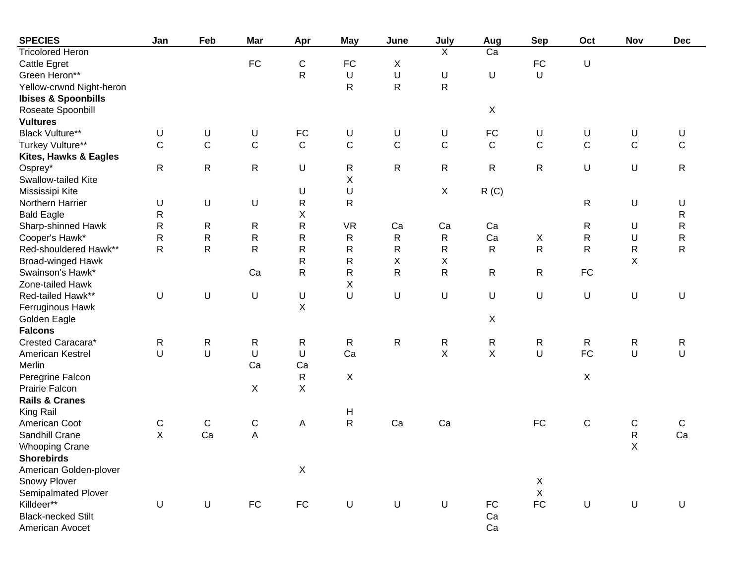| <b>SPECIES</b>                 | Jan          | Feb          | <b>Mar</b>  | Apr         | <b>May</b>                | June         | July           | Aug             | <b>Sep</b>  | Oct          | Nov         | <b>Dec</b>   |
|--------------------------------|--------------|--------------|-------------|-------------|---------------------------|--------------|----------------|-----------------|-------------|--------------|-------------|--------------|
| <b>Tricolored Heron</b>        |              |              |             |             |                           |              | $\overline{X}$ | $\overline{Ca}$ |             |              |             |              |
| <b>Cattle Egret</b>            |              |              | FC          | C           | ${\sf FC}$                | X            |                |                 | <b>FC</b>   | U            |             |              |
| Green Heron**                  |              |              |             | $\mathsf R$ | $\sf U$                   | U            | U              | $\sf U$         | $\cup$      |              |             |              |
| Yellow-crwnd Night-heron       |              |              |             |             | R                         | $\mathsf{R}$ | ${\sf R}$      |                 |             |              |             |              |
| <b>Ibises &amp; Spoonbills</b> |              |              |             |             |                           |              |                |                 |             |              |             |              |
| Roseate Spoonbill              |              |              |             |             |                           |              |                | X               |             |              |             |              |
| <b>Vultures</b>                |              |              |             |             |                           |              |                |                 |             |              |             |              |
| <b>Black Vulture**</b>         | U            | U            | U           | FC          | $\sf U$                   | U            | U              | FC              | U           | U            | U           | U            |
| Turkey Vulture**               | $\mathsf C$  | $\mathbf C$  | $\mathsf C$ | $\mathsf C$ | $\mathbf C$               | $\mathsf C$  | $\mathsf C$    | $\mathbf C$     | C           | $\mathsf C$  | $\mathsf C$ | C            |
| Kites, Hawks & Eagles          |              |              |             |             |                           |              |                |                 |             |              |             |              |
| Osprey*                        | ${\sf R}$    | R            | R           | U           | R                         | ${\sf R}$    | $\mathsf{R}$   | $\mathsf{R}$    | R           | U            | U           | R            |
| Swallow-tailed Kite            |              |              |             |             | X                         |              |                |                 |             |              |             |              |
| Mississipi Kite                |              |              |             | U           | $\sf U$                   |              | X              | R(G)            |             |              |             |              |
| Northern Harrier               | U            | U            | U           | $\mathsf R$ | R                         |              |                |                 |             | $\mathsf{R}$ | U           | U            |
| <b>Bald Eagle</b>              | ${\sf R}$    |              |             | Χ           |                           |              |                |                 |             |              |             | ${\sf R}$    |
| Sharp-shinned Hawk             | R            | R            | R           | ${\sf R}$   | <b>VR</b>                 | Ca           | Ca             | Ca              |             | $\mathsf R$  | U           | ${\sf R}$    |
| Cooper's Hawk*                 | R            | ${\sf R}$    | R           | $\mathsf R$ | R                         | $\mathsf{R}$ | $\mathsf{R}$   | Ca              | X           | $\mathsf R$  | U           | ${\sf R}$    |
| Red-shouldered Hawk**          | ${\sf R}$    | $\mathsf{R}$ | R           | $\mathsf R$ | R                         | ${\sf R}$    | ${\sf R}$      | $\mathsf{R}$    | ${\sf R}$   | $\mathsf{R}$ | $\mathsf R$ | $\mathsf{R}$ |
| Broad-winged Hawk              |              |              |             | ${\sf R}$   | R                         | Χ            | Χ              |                 |             |              | X           |              |
| Swainson's Hawk*               |              |              | Ca          | $\mathsf R$ | $\mathsf R$               | $\mathsf{R}$ | R              | $\mathsf{R}$    | R           | ${\sf FC}$   |             |              |
| Zone-tailed Hawk               |              |              |             |             | Χ                         |              |                |                 |             |              |             |              |
| Red-tailed Hawk**              | U            | U            | U           | U           | $\sf U$                   | U            | U              | $\sf U$         | $\sf U$     | U            | U           | U            |
| Ferruginous Hawk               |              |              |             | X           |                           |              |                |                 |             |              |             |              |
| Golden Eagle                   |              |              |             |             |                           |              |                | X               |             |              |             |              |
| <b>Falcons</b>                 |              |              |             |             |                           |              |                |                 |             |              |             |              |
| Crested Caracara*              | R            | R            | ${\sf R}$   | R           | $\mathsf{R}$              | $\mathsf{R}$ | $\sf R$        | $\mathsf{R}$    | R           | $\mathsf{R}$ | R           | R            |
| American Kestrel               | U            | U            | U           | U           | Ca                        |              | X              | X               | $\sf U$     | <b>FC</b>    | $\cup$      | U            |
| Merlin                         |              |              | Ca          | Ca          |                           |              |                |                 |             |              |             |              |
| Peregrine Falcon               |              |              |             | ${\sf R}$   | $\boldsymbol{\mathsf{X}}$ |              |                |                 |             | X            |             |              |
| Prairie Falcon                 |              |              | X           | X           |                           |              |                |                 |             |              |             |              |
| <b>Rails &amp; Cranes</b>      |              |              |             |             |                           |              |                |                 |             |              |             |              |
| King Rail                      |              |              |             |             | H                         |              |                |                 |             |              |             |              |
| American Coot                  | $\mathsf C$  | ${\bf C}$    | $\mathsf C$ | А           | ${\sf R}$                 | Ca           | Ca             |                 | <b>FC</b>   | $\mathsf C$  | $\mathsf C$ | C            |
| Sandhill Crane                 | $\mathsf{X}$ | Ca           | A           |             |                           |              |                |                 |             |              | ${\sf R}$   | Ca           |
| <b>Whooping Crane</b>          |              |              |             |             |                           |              |                |                 |             |              | X           |              |
| <b>Shorebirds</b>              |              |              |             |             |                           |              |                |                 |             |              |             |              |
| American Golden-plover         |              |              |             | Χ           |                           |              |                |                 |             |              |             |              |
| Snowy Plover                   |              |              |             |             |                           |              |                |                 | X           |              |             |              |
| Semipalmated Plover            |              |              |             |             |                           |              |                |                 | $\mathsf X$ |              |             |              |
| Killdeer**                     | $\mathsf U$  | $\sf U$      | ${\sf FC}$  | ${\sf FC}$  | $\sf U$                   | $\sf U$      | $\sf U$        | FC              | ${\sf FC}$  | $\sf U$      | $\sf U$     | $\mathsf U$  |
| <b>Black-necked Stilt</b>      |              |              |             |             |                           |              |                | Ca              |             |              |             |              |
| American Avocet                |              |              |             |             |                           |              |                | Ca              |             |              |             |              |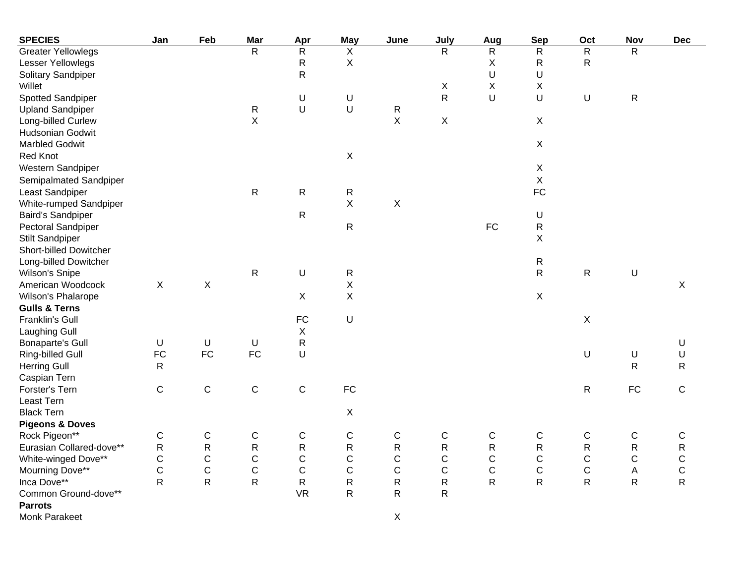| <b>SPECIES</b>               | Jan          | Feb         | Mar                     | Apr            | <b>May</b>                | June         | July           | Aug                     | <b>Sep</b>                | Oct            | Nov            | <b>Dec</b>   |
|------------------------------|--------------|-------------|-------------------------|----------------|---------------------------|--------------|----------------|-------------------------|---------------------------|----------------|----------------|--------------|
| <b>Greater Yellowlegs</b>    |              |             | $\overline{\mathsf{R}}$ | $\overline{R}$ | $\overline{X}$            |              | $\overline{R}$ | $\overline{\mathsf{R}}$ | $\overline{R}$            | $\overline{R}$ | $\overline{R}$ |              |
| Lesser Yellowlegs            |              |             |                         | ${\sf R}$      | $\boldsymbol{\mathsf{X}}$ |              |                | X                       | ${\sf R}$                 | $\mathsf{R}$   |                |              |
| Solitary Sandpiper           |              |             |                         | ${\sf R}$      |                           |              |                | U                       | U                         |                |                |              |
| Willet                       |              |             |                         |                |                           |              | X              | X                       | X                         |                |                |              |
| Spotted Sandpiper            |              |             |                         | U              | U                         |              | $\mathsf R$    | U                       | U                         | $\sf U$        | ${\sf R}$      |              |
| <b>Upland Sandpiper</b>      |              |             | R                       | $\sf U$        | $\sf U$                   | ${\sf R}$    |                |                         |                           |                |                |              |
| Long-billed Curlew           |              |             | X                       |                |                           | $\mathsf X$  | $\mathsf X$    |                         | $\mathsf X$               |                |                |              |
| Hudsonian Godwit             |              |             |                         |                |                           |              |                |                         |                           |                |                |              |
| <b>Marbled Godwit</b>        |              |             |                         |                |                           |              |                |                         | $\mathsf X$               |                |                |              |
| <b>Red Knot</b>              |              |             |                         |                | $\mathsf X$               |              |                |                         |                           |                |                |              |
| Western Sandpiper            |              |             |                         |                |                           |              |                |                         | $\boldsymbol{\mathsf{X}}$ |                |                |              |
| Semipalmated Sandpiper       |              |             |                         |                |                           |              |                |                         | X                         |                |                |              |
| Least Sandpiper              |              |             | R                       | $\mathsf R$    | ${\sf R}$                 |              |                |                         | ${\sf FC}$                |                |                |              |
| White-rumped Sandpiper       |              |             |                         |                | $\boldsymbol{\mathsf{X}}$ | X            |                |                         |                           |                |                |              |
| <b>Baird's Sandpiper</b>     |              |             |                         | R              |                           |              |                |                         | U                         |                |                |              |
| Pectoral Sandpiper           |              |             |                         |                | ${\sf R}$                 |              |                | ${\sf FC}$              | ${\sf R}$                 |                |                |              |
| <b>Stilt Sandpiper</b>       |              |             |                         |                |                           |              |                |                         | X                         |                |                |              |
| Short-billed Dowitcher       |              |             |                         |                |                           |              |                |                         |                           |                |                |              |
| Long-billed Dowitcher        |              |             |                         |                |                           |              |                |                         | R                         |                |                |              |
| <b>Wilson's Snipe</b>        |              |             | ${\sf R}$               | U              | ${\sf R}$                 |              |                |                         | ${\sf R}$                 | ${\sf R}$      | $\cup$         |              |
| American Woodcock            | $\mathsf X$  | X           |                         |                | $\mathsf X$               |              |                |                         |                           |                |                | $\mathsf{X}$ |
| Wilson's Phalarope           |              |             |                         | $\mathsf X$    | $\boldsymbol{\mathsf{X}}$ |              |                |                         | X                         |                |                |              |
| <b>Gulls &amp; Terns</b>     |              |             |                         |                |                           |              |                |                         |                           |                |                |              |
| Franklin's Gull              |              |             |                         | FC             | $\sf U$                   |              |                |                         |                           | $\mathsf X$    |                |              |
|                              |              |             |                         | $\mathsf X$    |                           |              |                |                         |                           |                |                |              |
| Laughing Gull                | $\sf U$      | $\sf U$     |                         | ${\sf R}$      |                           |              |                |                         |                           |                |                |              |
| <b>Bonaparte's Gull</b>      | <b>FC</b>    | FC          | $\sf U$<br>FC           | U              |                           |              |                |                         |                           | $\sf U$        | U              | U<br>U       |
| Ring-billed Gull             |              |             |                         |                |                           |              |                |                         |                           |                | $\mathsf{R}$   | ${\sf R}$    |
| <b>Herring Gull</b>          | $\mathsf{R}$ |             |                         |                |                           |              |                |                         |                           |                |                |              |
| Caspian Tern                 | $\mathsf C$  |             |                         |                | ${\sf FC}$                |              |                |                         |                           | ${\sf R}$      | ${\sf FC}$     | $\mathbf C$  |
| Forster's Tern<br>Least Tern |              | $\mathsf C$ | $\mathsf C$             | $\mathsf C$    |                           |              |                |                         |                           |                |                |              |
|                              |              |             |                         |                |                           |              |                |                         |                           |                |                |              |
| <b>Black Tern</b>            |              |             |                         |                | $\boldsymbol{\mathsf{X}}$ |              |                |                         |                           |                |                |              |
| <b>Pigeons &amp; Doves</b>   |              |             |                         |                |                           |              |                |                         |                           |                |                |              |
| Rock Pigeon**                | C            | $\mathsf C$ | $\mathsf C$             | C              | C                         | $\mathsf C$  | $\mathsf{C}$   | C                       | C                         | ${\bf C}$      | $\mathsf{C}$   | $\mathsf C$  |
| Eurasian Collared-dove**     | ${\sf R}$    | ${\sf R}$   | $\mathsf{R}$            | $\mathsf R$    | ${\sf R}$                 | ${\sf R}$    | ${\sf R}$      | ${\sf R}$               | ${\sf R}$                 | ${\sf R}$      | ${\sf R}$      | ${\sf R}$    |
| White-winged Dove**          | $\mathsf C$  | $\mathsf C$ | $\mathsf C$             | $\mathsf C$    | $\mathsf{C}$              | $\mathsf{C}$ | $\mathsf C$    | $\mathsf C$             | $\mathsf C$               | $\mathsf C$    | $\mathbf C$    | $\mathsf C$  |
| Mourning Dove**              | $\mathsf{C}$ | $\mathsf C$ | $\mathsf C$             | $\mathsf C$    | $\mathsf{C}$              | $\mathsf{C}$ | $\mathsf C$    | $\mathsf C$             | $\mathsf C$               | $\mathsf C$    | A              | $\mathsf C$  |
| Inca Dove**                  | $\mathsf R$  | ${\sf R}$   | $\mathsf{R}$            | ${\sf R}$      | R                         | ${\sf R}$    | R              | R                       | $\mathsf R$               | $\mathsf{R}$   | $\mathsf{R}$   | $\mathsf R$  |
| Common Ground-dove**         |              |             |                         | <b>VR</b>      | R                         | $\mathsf{R}$ | R              |                         |                           |                |                |              |
| <b>Parrots</b>               |              |             |                         |                |                           |              |                |                         |                           |                |                |              |
| Monk Parakeet                |              |             |                         |                |                           | $\mathsf X$  |                |                         |                           |                |                |              |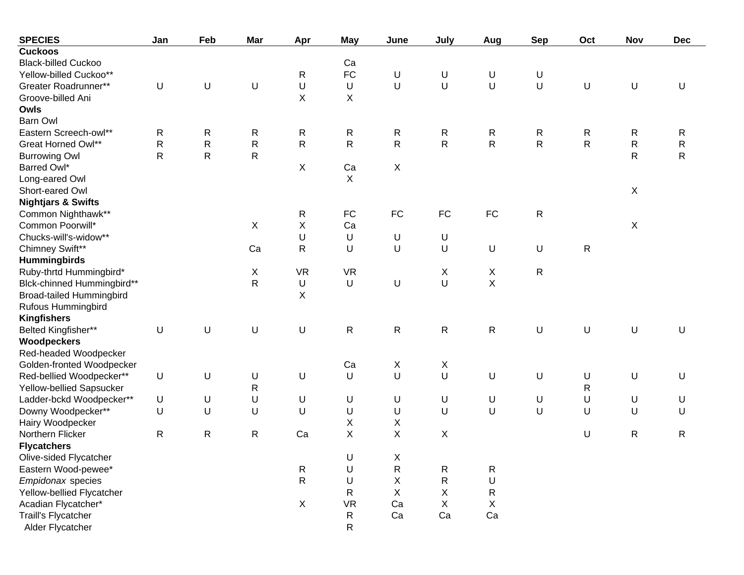| <b>SPECIES</b>                  | Jan          | Feb          | Mar          | Apr          | <b>May</b>   | June                      | July                      | Aug         | <b>Sep</b>   | Oct          | <b>Nov</b>                | <b>Dec</b>  |
|---------------------------------|--------------|--------------|--------------|--------------|--------------|---------------------------|---------------------------|-------------|--------------|--------------|---------------------------|-------------|
| <b>Cuckoos</b>                  |              |              |              |              |              |                           |                           |             |              |              |                           |             |
| <b>Black-billed Cuckoo</b>      |              |              |              |              | Ca           |                           |                           |             |              |              |                           |             |
| Yellow-billed Cuckoo**          |              |              |              | R            | <b>FC</b>    | U                         | U                         | U           | U            |              |                           |             |
| Greater Roadrunner**            | U            | U            | U            | U            | $\sf U$      | U                         | $\cup$                    | U           | U            | $\sf U$      | U                         | U           |
| Groove-billed Ani               |              |              |              | X            | X            |                           |                           |             |              |              |                           |             |
| Owls                            |              |              |              |              |              |                           |                           |             |              |              |                           |             |
| <b>Barn Owl</b>                 |              |              |              |              |              |                           |                           |             |              |              |                           |             |
| Eastern Screech-owl**           | R            | $\mathsf{R}$ | R            | R            | $\mathsf{R}$ | R                         | $\mathsf{R}$              | R           | R            | R            | R                         | R           |
| Great Horned Owl**              | $\mathsf R$  | ${\sf R}$    | $\mathsf R$  | $\mathsf{R}$ | $\mathsf{R}$ | $\mathsf{R}$              | $\mathsf R$               | $\mathsf R$ | $\mathsf{R}$ | $\mathsf{R}$ | ${\sf R}$                 | ${\sf R}$   |
| <b>Burrowing Owl</b>            | $\mathsf{R}$ | $\mathsf{R}$ | R            |              |              |                           |                           |             |              |              | $\mathsf{R}$              | $\mathsf R$ |
| Barred Owl*                     |              |              |              | X            | Ca           | X                         |                           |             |              |              |                           |             |
| Long-eared Owl                  |              |              |              |              | X            |                           |                           |             |              |              |                           |             |
| Short-eared Owl                 |              |              |              |              |              |                           |                           |             |              |              | $\mathsf X$               |             |
| <b>Nightjars &amp; Swifts</b>   |              |              |              |              |              |                           |                           |             |              |              |                           |             |
| Common Nighthawk**              |              |              |              | R            | <b>FC</b>    | FC                        | ${\sf FC}$                | ${\sf FC}$  | $\mathsf{R}$ |              |                           |             |
| Common Poorwill*                |              |              | X            | Χ            | Ca           |                           |                           |             |              |              | $\boldsymbol{\mathsf{X}}$ |             |
| Chucks-will's-widow**           |              |              |              | U            | U            | U                         | U                         |             |              |              |                           |             |
| Chimney Swift**                 |              |              | Ca           | $\mathsf R$  | U            | U                         | U                         | U           | U            | $\mathsf R$  |                           |             |
| <b>Hummingbirds</b>             |              |              |              |              |              |                           |                           |             |              |              |                           |             |
| Ruby-thrtd Hummingbird*         |              |              | Χ            | <b>VR</b>    | <b>VR</b>    |                           | X                         | X           | R            |              |                           |             |
| Blck-chinned Hummingbird**      |              |              | R            | U            | $\sf U$      | U                         | $\sf U$                   | $\mathsf X$ |              |              |                           |             |
| <b>Broad-tailed Hummingbird</b> |              |              |              | X            |              |                           |                           |             |              |              |                           |             |
| Rufous Hummingbird              |              |              |              |              |              |                           |                           |             |              |              |                           |             |
| <b>Kingfishers</b>              |              |              |              |              |              |                           |                           |             |              |              |                           |             |
| Belted Kingfisher**             | $\mathsf U$  | U            | U            | U            | ${\sf R}$    | ${\sf R}$                 | R                         | $\mathsf R$ | U            | U            | U                         | U           |
| Woodpeckers                     |              |              |              |              |              |                           |                           |             |              |              |                           |             |
| Red-headed Woodpecker           |              |              |              |              |              |                           |                           |             |              |              |                           |             |
| Golden-fronted Woodpecker       |              |              |              |              | Ca           | X                         | $\boldsymbol{\mathsf{X}}$ |             |              |              |                           |             |
| Red-bellied Woodpecker**        | $\sf U$      | U            | U            | U            | $\sf U$      | U                         | U                         | U           | U            | U            | U                         | U           |
| Yellow-bellied Sapsucker        |              |              | $\mathsf{R}$ |              |              |                           |                           |             |              | R            |                           |             |
| Ladder-bckd Woodpecker**        | U            | U            | U            | U            | U            | U                         | $\sf U$                   | U           | U            | U            | U                         | U           |
| Downy Woodpecker**              | $\sf U$      | U            | U            | U            | $\sf U$      | U                         | U                         | U           | U            | $\sf U$      | U                         | U           |
| Hairy Woodpecker                |              |              |              |              | X            | X                         |                           |             |              |              |                           |             |
| Northern Flicker                | $\mathsf{R}$ | $\mathsf{R}$ | R            | Ca           | $\mathsf X$  | X                         | $\sf X$                   |             |              | $\sf U$      | $\mathsf R$               | R           |
| <b>Flycatchers</b>              |              |              |              |              |              |                           |                           |             |              |              |                           |             |
| Olive-sided Flycatcher          |              |              |              |              | $\sf U$      | $\boldsymbol{\mathsf{X}}$ |                           |             |              |              |                           |             |
| Eastern Wood-pewee*             |              |              |              | R            | U            | $\mathsf{R}$              | $\mathsf{R}$              | R           |              |              |                           |             |
| Empidonax species               |              |              |              | $\mathsf{R}$ | U            | Χ                         | R                         | U           |              |              |                           |             |
| Yellow-bellied Flycatcher       |              |              |              |              | R            | X                         | X                         | R           |              |              |                           |             |
| Acadian Flycatcher*             |              |              |              | X            | <b>VR</b>    | Ca                        | X                         | Χ           |              |              |                           |             |
| Traill's Flycatcher             |              |              |              |              | $\mathsf{R}$ | Ca                        | Ca                        | Ca          |              |              |                           |             |
| Alder Flycatcher                |              |              |              |              | R            |                           |                           |             |              |              |                           |             |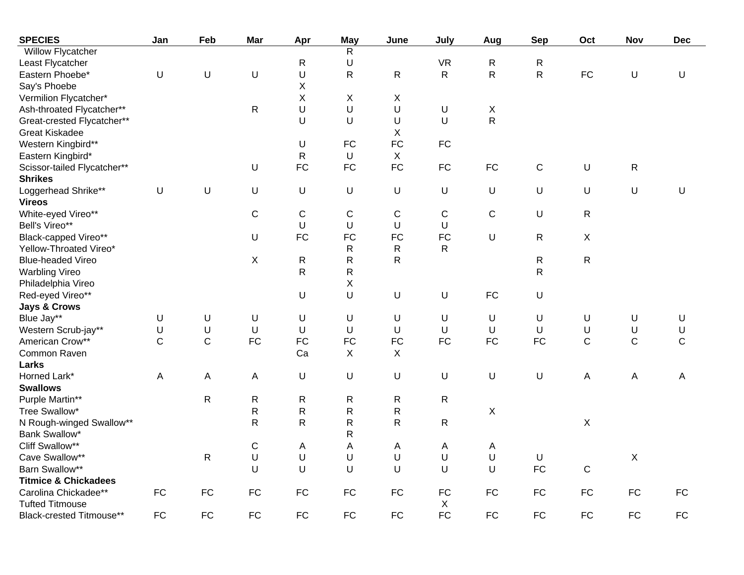| <b>SPECIES</b>                  | Jan          | Feb          | <b>Mar</b>   | Apr         | <b>May</b>     | June                      | July         | Aug          | <b>Sep</b>  | Oct                       | Nov                       | <b>Dec</b>   |
|---------------------------------|--------------|--------------|--------------|-------------|----------------|---------------------------|--------------|--------------|-------------|---------------------------|---------------------------|--------------|
| Willow Flycatcher               |              |              |              |             | $\overline{R}$ |                           |              |              |             |                           |                           |              |
| Least Flycatcher                |              |              |              | R           | U              |                           | <b>VR</b>    | R            | R           |                           |                           |              |
| Eastern Phoebe*                 | U            | $\sf U$      | U            | U           | $\mathsf{R}$   | $\mathsf{R}$              | $\mathsf{R}$ | $\mathsf{R}$ | R           | FC                        | $\cup$                    | U            |
| Say's Phoebe                    |              |              |              | X           |                |                           |              |              |             |                           |                           |              |
| Vermilion Flycatcher*           |              |              |              | X           | X              | X                         |              |              |             |                           |                           |              |
| Ash-throated Flycatcher**       |              |              | $\mathsf{R}$ | U           | $\sf U$        | U                         | U            | X            |             |                           |                           |              |
| Great-crested Flycatcher**      |              |              |              | U           | U              | U                         | U            | $\mathsf{R}$ |             |                           |                           |              |
| <b>Great Kiskadee</b>           |              |              |              |             |                | X                         |              |              |             |                           |                           |              |
| Western Kingbird**              |              |              |              | U           | <b>FC</b>      | FC                        | ${\sf FC}$   |              |             |                           |                           |              |
| Eastern Kingbird*               |              |              |              | $\mathsf R$ | $\sf U$        | $\boldsymbol{\mathsf{X}}$ |              |              |             |                           |                           |              |
| Scissor-tailed Flycatcher**     |              |              | U            | <b>FC</b>   | FC             | FC                        | <b>FC</b>    | FC           | $\mathsf C$ | $\sf U$                   | $\mathsf{R}$              |              |
| <b>Shrikes</b>                  |              |              |              |             |                |                           |              |              |             |                           |                           |              |
| Loggerhead Shrike**             | $\sf U$      | $\sf U$      | U            | U           | U              | $\sf U$                   | U            | U            | U           | $\sf U$                   | $\cup$                    | $\sf U$      |
| <b>Vireos</b>                   |              |              |              |             |                |                           |              |              |             |                           |                           |              |
| White-eyed Vireo**              |              |              | C            | C           | $\mathsf C$    | C                         | C            | C            | U           | ${\sf R}$                 |                           |              |
| Bell's Vireo**                  |              |              |              | U           | U              | U                         | U            |              |             |                           |                           |              |
| Black-capped Vireo**            |              |              | U            | <b>FC</b>   | FC             | FC                        | FC           | U            | R           | $\boldsymbol{\mathsf{X}}$ |                           |              |
| Yellow-Throated Vireo*          |              |              |              |             | $\mathsf{R}$   | ${\sf R}$                 | $\mathsf{R}$ |              |             |                           |                           |              |
| <b>Blue-headed Vireo</b>        |              |              | X            | ${\sf R}$   | ${\sf R}$      | $\mathsf{R}$              |              |              | R           | ${\sf R}$                 |                           |              |
| <b>Warbling Vireo</b>           |              |              |              | R           | ${\sf R}$      |                           |              |              | R           |                           |                           |              |
| Philadelphia Vireo              |              |              |              |             | $\sf X$        |                           |              |              |             |                           |                           |              |
| Red-eyed Vireo**                |              |              |              | U           | $\sf U$        | $\sf U$                   | U            | <b>FC</b>    | U           |                           |                           |              |
| <b>Jays &amp; Crows</b>         |              |              |              |             |                |                           |              |              |             |                           |                           |              |
| Blue Jay**                      | U            | $\sf U$      | U            | U           | $\sf U$        | U                         | U            | U            | U           | $\sf U$                   | U                         | U            |
| Western Scrub-jay**             | U            | $\sf U$      | U            | U           | $\cup$         | $\mathsf U$               | $\sf U$      | U            | U           | U                         | U                         | U            |
| American Crow**                 | $\mathsf{C}$ | $\mathsf{C}$ | FC           | <b>FC</b>   | FC             | FC                        | <b>FC</b>    | <b>FC</b>    | <b>FC</b>   | $\mathsf{C}$              | $\mathsf{C}$              | $\mathsf{C}$ |
| Common Raven                    |              |              |              | Ca          | $\mathsf{X}$   | X                         |              |              |             |                           |                           |              |
| Larks                           |              |              |              |             |                |                           |              |              |             |                           |                           |              |
| Horned Lark*                    | A            | A            | A            | U           | $\sf U$        | $\sf U$                   | U            | U            | U           | $\boldsymbol{\mathsf{A}}$ | Α                         | A            |
| <b>Swallows</b>                 |              |              |              |             |                |                           |              |              |             |                           |                           |              |
| Purple Martin**                 |              | $\mathsf{R}$ | R            | R           | R              | $\mathsf{R}$              | R            |              |             |                           |                           |              |
| Tree Swallow*                   |              |              | ${\sf R}$    | ${\sf R}$   | $\mathsf R$    | ${\sf R}$                 |              | X            |             |                           |                           |              |
| N Rough-winged Swallow**        |              |              | $\mathsf R$  | R           | R              | ${\sf R}$                 | $\mathsf{R}$ |              |             | $\boldsymbol{\mathsf{X}}$ |                           |              |
| Bank Swallow*                   |              |              |              |             | R              |                           |              |              |             |                           |                           |              |
| Cliff Swallow**                 |              |              | $\mathsf C$  | Α           | Α              | Α                         | A            | Α            |             |                           |                           |              |
| Cave Swallow**                  |              | R            | U            | U           | U              | U                         | U            | U            | U           |                           | $\boldsymbol{\mathsf{X}}$ |              |
| Barn Swallow**                  |              |              | U            | U           | U              | U                         | U            | U            | <b>FC</b>   | $\mathbf C$               |                           |              |
| <b>Titmice &amp; Chickadees</b> |              |              |              |             |                |                           |              |              |             |                           |                           |              |
| Carolina Chickadee**            | <b>FC</b>    | <b>FC</b>    | <b>FC</b>    | <b>FC</b>   | <b>FC</b>      | <b>FC</b>                 | <b>FC</b>    | <b>FC</b>    | <b>FC</b>   | <b>FC</b>                 | FC                        | ${\sf FC}$   |
| <b>Tufted Titmouse</b>          |              |              |              |             |                |                           | X            |              |             |                           |                           |              |
| Black-crested Titmouse**        | <b>FC</b>    | <b>FC</b>    | <b>FC</b>    | <b>FC</b>   | <b>FC</b>      | <b>FC</b>                 | <b>FC</b>    | <b>FC</b>    | <b>FC</b>   | <b>FC</b>                 | FC                        | FC           |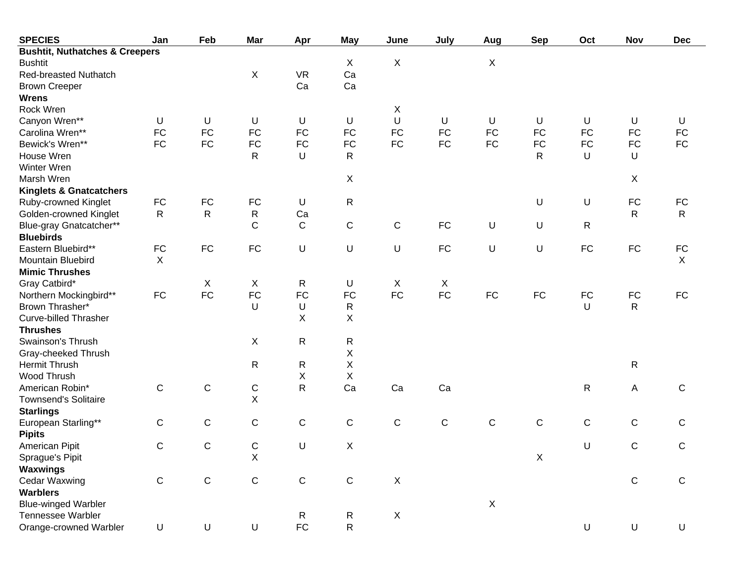| <b>SPECIES</b>                            | Jan                       | Feb          | Mar          | Apr          | <b>May</b>                | June                      | July        | Aug         | <b>Sep</b>   | Oct         | Nov          | <b>Dec</b>                |
|-------------------------------------------|---------------------------|--------------|--------------|--------------|---------------------------|---------------------------|-------------|-------------|--------------|-------------|--------------|---------------------------|
| <b>Bushtit, Nuthatches &amp; Creepers</b> |                           |              |              |              |                           |                           |             |             |              |             |              |                           |
| <b>Bushtit</b>                            |                           |              |              |              | X                         | $\boldsymbol{\mathsf{X}}$ |             | X           |              |             |              |                           |
| <b>Red-breasted Nuthatch</b>              |                           |              | X            | <b>VR</b>    | Ca                        |                           |             |             |              |             |              |                           |
| <b>Brown Creeper</b>                      |                           |              |              | Ca           | Ca                        |                           |             |             |              |             |              |                           |
| <b>Wrens</b>                              |                           |              |              |              |                           |                           |             |             |              |             |              |                           |
| Rock Wren                                 |                           |              |              |              |                           | X                         |             |             |              |             |              |                           |
| Canyon Wren**                             | U                         | U            | U            | U            | U                         | U                         | U           | U           | U            | U           | U            | U                         |
| Carolina Wren**                           | <b>FC</b>                 | <b>FC</b>    | FC           | <b>FC</b>    | <b>FC</b>                 | <b>FC</b>                 | <b>FC</b>   | <b>FC</b>   | <b>FC</b>    | <b>FC</b>   | <b>FC</b>    | <b>FC</b>                 |
| Bewick's Wren**                           | <b>FC</b>                 | <b>FC</b>    | FC           | <b>FC</b>    | <b>FC</b>                 | <b>FC</b>                 | <b>FC</b>   | ${\sf FC}$  | <b>FC</b>    | <b>FC</b>   | FC           | <b>FC</b>                 |
| House Wren                                |                           |              | R            | U            | $\mathsf{R}$              |                           |             |             | $\mathsf{R}$ | U           | U            |                           |
| Winter Wren                               |                           |              |              |              |                           |                           |             |             |              |             |              |                           |
| Marsh Wren                                |                           |              |              |              | $\mathsf X$               |                           |             |             |              |             | X            |                           |
| <b>Kinglets &amp; Gnatcatchers</b>        |                           |              |              |              |                           |                           |             |             |              |             |              |                           |
| Ruby-crowned Kinglet                      | ${\sf FC}$                | FC           | FC           | U            | $\mathsf{R}$              |                           |             |             | U            | U           | ${\sf FC}$   | <b>FC</b>                 |
| Golden-crowned Kinglet                    | $\mathsf{R}$              | $\mathsf{R}$ | $\mathsf{R}$ | Ca           |                           |                           |             |             |              |             | $\mathsf{R}$ | $\mathsf{R}$              |
| Blue-gray Gnatcatcher**                   |                           |              | C            | $\mathsf C$  | $\mathsf C$               | $\mathbf C$               | ${\sf FC}$  | U           | U            | R           |              |                           |
| <b>Bluebirds</b>                          |                           |              |              |              |                           |                           |             |             |              |             |              |                           |
| Eastern Bluebird**                        | ${\sf FC}$                | FC           | <b>FC</b>    | U            | $\sf U$                   | U                         | ${\sf FC}$  | U           | $\sf U$      | FC          | FC           | <b>FC</b>                 |
| Mountain Bluebird                         | $\boldsymbol{\mathsf{X}}$ |              |              |              |                           |                           |             |             |              |             |              | $\boldsymbol{\mathsf{X}}$ |
| <b>Mimic Thrushes</b>                     |                           |              |              |              |                           |                           |             |             |              |             |              |                           |
| Gray Catbird*                             |                           | X            | X            | R            | U                         | X                         | X           |             |              |             |              |                           |
| Northern Mockingbird**                    | <b>FC</b>                 | <b>FC</b>    | FC           | <b>FC</b>    | <b>FC</b>                 | <b>FC</b>                 | <b>FC</b>   | ${\sf FC}$  | FC           | FC          | FC           | <b>FC</b>                 |
| Brown Thrasher*                           |                           |              | U            | U            | $\mathsf{R}$              |                           |             |             |              | U           | $\mathsf{R}$ |                           |
| <b>Curve-billed Thrasher</b>              |                           |              |              | X            | X                         |                           |             |             |              |             |              |                           |
| <b>Thrushes</b>                           |                           |              |              |              |                           |                           |             |             |              |             |              |                           |
| Swainson's Thrush                         |                           |              | X            | R            | ${\sf R}$                 |                           |             |             |              |             |              |                           |
| Gray-cheeked Thrush                       |                           |              |              |              | Χ                         |                           |             |             |              |             |              |                           |
| Hermit Thrush                             |                           |              | R            | R            | Χ                         |                           |             |             |              |             | $\mathsf{R}$ |                           |
| Wood Thrush                               |                           |              |              | Χ            | X                         |                           |             |             |              |             |              |                           |
| American Robin*                           | $\mathbf C$               | $\mathsf C$  | $\mathsf C$  | R            | Ca                        | Ca                        | Ca          |             |              | $\mathsf R$ | Α            | $\mathbf C$               |
| <b>Townsend's Solitaire</b>               |                           |              | X            |              |                           |                           |             |             |              |             |              |                           |
| <b>Starlings</b>                          |                           |              |              |              |                           |                           |             |             |              |             |              |                           |
| European Starling**                       | $\mathsf{C}$              | $\mathsf C$  | C            | $\mathsf C$  | $\mathsf C$               | $\mathbf C$               | $\mathbf C$ | $\mathsf C$ | $\mathsf C$  | $\mathsf C$ | $\mathsf C$  | C                         |
| <b>Pipits</b>                             |                           |              |              |              |                           |                           |             |             |              |             |              |                           |
| American Pipit                            | C                         | C            | C            | U            | $\boldsymbol{\mathsf{X}}$ |                           |             |             |              | U           | С            | C                         |
| Sprague's Pipit                           |                           |              | X            |              |                           |                           |             |             | X            |             |              |                           |
| <b>Waxwings</b>                           |                           |              |              |              |                           |                           |             |             |              |             |              |                           |
| Cedar Waxwing                             | $\mathsf C$               | ${\bf C}$    | $\mathsf C$  | ${\bf C}$    | $\mathsf C$               | $\mathsf X$               |             |             |              |             | $\mathbf C$  | $\mathbf C$               |
| <b>Warblers</b>                           |                           |              |              |              |                           |                           |             |             |              |             |              |                           |
| <b>Blue-winged Warbler</b>                |                           |              |              |              |                           |                           |             | $\mathsf X$ |              |             |              |                           |
| Tennessee Warbler                         |                           |              |              | $\mathsf{R}$ | $\mathsf{R}$              | $\boldsymbol{X}$          |             |             |              |             |              |                           |
| Orange-crowned Warbler                    | U                         | $\mathsf U$  | U            | ${\sf FC}$   | ${\sf R}$                 |                           |             |             |              | $\sf U$     | $\sf U$      | $\cup$                    |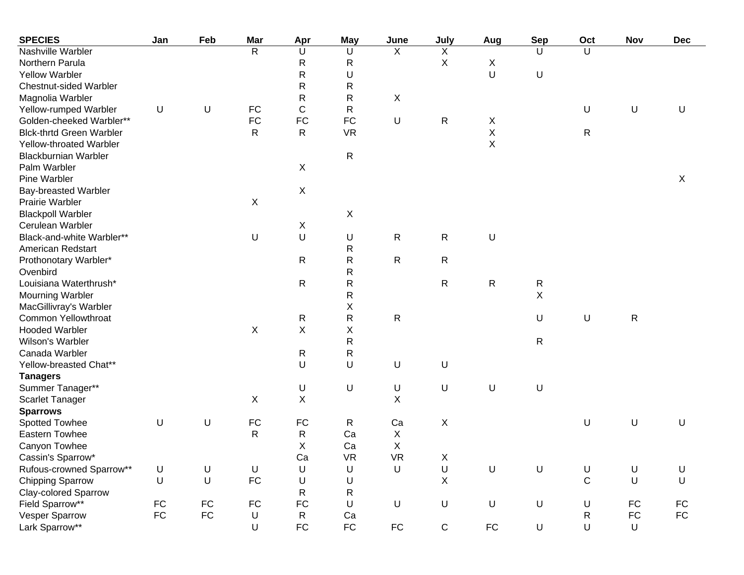| <b>SPECIES</b>                  | Jan        | Feb        | Mar          | Apr          | May          | June       | July           | Aug          | <b>Sep</b>   | Oct          | Nov          | <b>Dec</b> |
|---------------------------------|------------|------------|--------------|--------------|--------------|------------|----------------|--------------|--------------|--------------|--------------|------------|
| Nashville Warbler               |            |            | $\mathsf{R}$ | U            | U            | X          | X              |              | U            | U            |              |            |
| Northern Parula                 |            |            |              | $\mathsf{R}$ | R            |            | $\pmb{\times}$ | X            |              |              |              |            |
| <b>Yellow Warbler</b>           |            |            |              | ${\sf R}$    | U            |            |                | U            | U            |              |              |            |
| <b>Chestnut-sided Warbler</b>   |            |            |              | ${\sf R}$    | R            |            |                |              |              |              |              |            |
| Magnolia Warbler                |            |            |              | ${\sf R}$    | R            | X          |                |              |              |              |              |            |
| Yellow-rumped Warbler           | U          | U          | FC           | $\mathsf C$  | R            |            |                |              |              | U            | $\sf U$      | $\sf U$    |
| Golden-cheeked Warbler**        |            |            | ${\sf FC}$   | <b>FC</b>    | FC           | U          | R              | X            |              |              |              |            |
| <b>Blck-thrtd Green Warbler</b> |            |            | R            | $\mathsf{R}$ | <b>VR</b>    |            |                | $\mathsf X$  |              | $\mathsf{R}$ |              |            |
| Yellow-throated Warbler         |            |            |              |              |              |            |                | $\mathsf X$  |              |              |              |            |
| <b>Blackburnian Warbler</b>     |            |            |              |              | $\mathsf R$  |            |                |              |              |              |              |            |
| Palm Warbler                    |            |            |              | X            |              |            |                |              |              |              |              |            |
| Pine Warbler                    |            |            |              |              |              |            |                |              |              |              |              | X          |
| <b>Bay-breasted Warbler</b>     |            |            |              | X            |              |            |                |              |              |              |              |            |
| <b>Prairie Warbler</b>          |            |            | X            |              |              |            |                |              |              |              |              |            |
| <b>Blackpoll Warbler</b>        |            |            |              |              | $\mathsf X$  |            |                |              |              |              |              |            |
| Cerulean Warbler                |            |            |              | X            |              |            |                |              |              |              |              |            |
| Black-and-white Warbler**       |            |            | U            | $\sf U$      | U            | ${\sf R}$  | R              | U            |              |              |              |            |
| American Redstart               |            |            |              |              | R            |            |                |              |              |              |              |            |
| Prothonotary Warbler*           |            |            |              | $\mathsf{R}$ | R            | ${\sf R}$  | R              |              |              |              |              |            |
| Ovenbird                        |            |            |              |              | $\mathsf{R}$ |            |                |              |              |              |              |            |
| Louisiana Waterthrush*          |            |            |              | $\mathsf{R}$ | $\mathsf{R}$ |            | R              | $\mathsf{R}$ | R            |              |              |            |
| <b>Mourning Warbler</b>         |            |            |              |              | ${\sf R}$    |            |                |              | $\sf X$      |              |              |            |
| MacGillivray's Warbler          |            |            |              |              | Χ            |            |                |              |              |              |              |            |
| Common Yellowthroat             |            |            |              | $\mathsf{R}$ | R            | ${\sf R}$  |                |              | U            | U            | $\mathsf{R}$ |            |
| <b>Hooded Warbler</b>           |            |            | X            | X            | Χ            |            |                |              |              |              |              |            |
| Wilson's Warbler                |            |            |              |              | $\mathsf R$  |            |                |              | $\mathsf{R}$ |              |              |            |
| Canada Warbler                  |            |            |              | $\mathsf{R}$ | R            |            |                |              |              |              |              |            |
| Yellow-breasted Chat**          |            |            |              | U            | U            | U          | U              |              |              |              |              |            |
| <b>Tanagers</b>                 |            |            |              |              |              |            |                |              |              |              |              |            |
| Summer Tanager**                |            |            |              | U            | U            | $\sf U$    | U              | $\sf U$      | U            |              |              |            |
| <b>Scarlet Tanager</b>          |            |            | X            | $\mathsf X$  |              | Χ          |                |              |              |              |              |            |
| <b>Sparrows</b>                 |            |            |              |              |              |            |                |              |              |              |              |            |
| Spotted Towhee                  | $\sf U$    | U          | FC           | <b>FC</b>    | $\mathsf{R}$ | Ca         | X              |              |              | U            | U            | U          |
| <b>Eastern Towhee</b>           |            |            | $\mathsf R$  | $\mathsf{R}$ | Ca           | X          |                |              |              |              |              |            |
| Canyon Towhee                   |            |            |              | X            | Ca           | X          |                |              |              |              |              |            |
| Cassin's Sparrow*               |            |            |              | Ca           | <b>VR</b>    | VR         | $\mathsf X$    |              |              |              |              |            |
| Rufous-crowned Sparrow**        | U          | U          | U            | $\sf U$      | $\sf U$      | U          | $\sf U$        | $\sf U$      | $\sf U$      | U            | $\sf U$      | U          |
| <b>Chipping Sparrow</b>         | U          | $\cup$     | ${\sf FC}$   | $\sf U$      | U            |            | $\mathsf X$    |              |              | $\mathsf C$  | U            | $\cup$     |
| <b>Clay-colored Sparrow</b>     |            |            |              | $\mathsf{R}$ | $\mathsf{R}$ |            |                |              |              |              |              |            |
| Field Sparrow**                 | ${\sf FC}$ | ${\sf FC}$ | ${\sf FC}$   | <b>FC</b>    | $\mathsf U$  | U          | $\sf U$        | $\sf U$      | $\sf U$      | $\sf U$      | <b>FC</b>    | FC         |
| Vesper Sparrow                  | ${\sf FC}$ | ${\sf FC}$ | $\sf U$      | $\mathsf{R}$ | Ca           |            |                |              |              | $\mathsf{R}$ | ${\sf FC}$   | ${\sf FC}$ |
| Lark Sparrow**                  |            |            | $\sf U$      | ${\sf FC}$   | ${\sf FC}$   | ${\sf FC}$ | $\mathsf C$    | ${\sf FC}$   | $\cup$       | $\mathsf U$  | $\sf U$      |            |